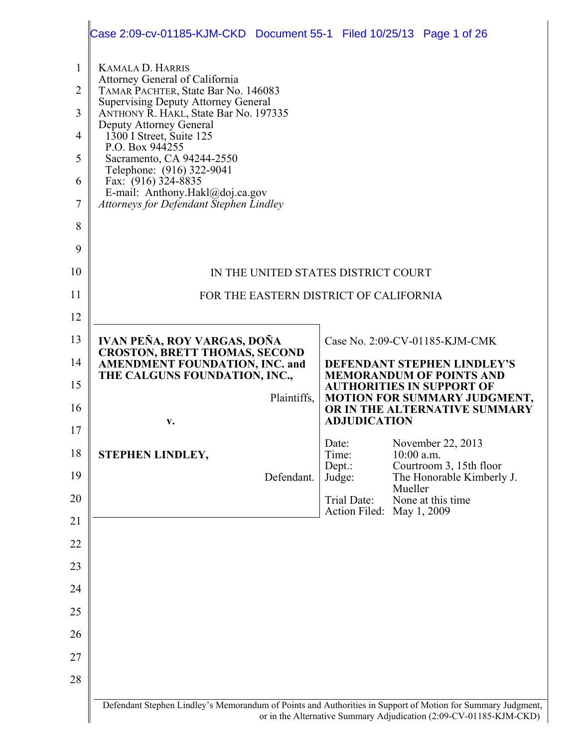|                                                                   | Case 2:09-cv-01185-KJM-CKD Document 55-1 Filed 10/25/13 Page 1 of 26                                                                                                                                                                                                                                                                                                                                                             |                     |                                                                |  |
|-------------------------------------------------------------------|----------------------------------------------------------------------------------------------------------------------------------------------------------------------------------------------------------------------------------------------------------------------------------------------------------------------------------------------------------------------------------------------------------------------------------|---------------------|----------------------------------------------------------------|--|
| $\mathbf{1}$<br>$\overline{2}$<br>3<br>4<br>5<br>6<br>7<br>8<br>9 | <b>KAMALA D. HARRIS</b><br>Attorney General of California<br>TAMAR PACHTER, State Bar No. 146083<br><b>Supervising Deputy Attorney General</b><br>ANTHONY R. HAKL, State Bar No. 197335<br>Deputy Attorney General<br>1300 I Street, Suite 125<br>P.O. Box 944255<br>Sacramento, CA 94244-2550<br>Telephone: (916) 322-9041<br>Fax: (916) 324-8835<br>E-mail: Anthony.Hakl@doj.ca.gov<br>Attorneys for Defendant Stephen Lindley |                     |                                                                |  |
| 10                                                                | IN THE UNITED STATES DISTRICT COURT                                                                                                                                                                                                                                                                                                                                                                                              |                     |                                                                |  |
| 11                                                                | FOR THE EASTERN DISTRICT OF CALIFORNIA                                                                                                                                                                                                                                                                                                                                                                                           |                     |                                                                |  |
| 12                                                                |                                                                                                                                                                                                                                                                                                                                                                                                                                  |                     |                                                                |  |
| 13                                                                | IVAN PEÑA, ROY VARGAS, DOÑA<br><b>CROSTON, BRETT THOMAS, SECOND</b>                                                                                                                                                                                                                                                                                                                                                              |                     | Case No. 2:09-CV-01185-KJM-CMK                                 |  |
| 14                                                                | AMENDMENT FOUNDATION, INC. and<br>THE CALGUNS FOUNDATION, INC.,                                                                                                                                                                                                                                                                                                                                                                  |                     | DEFENDANT STEPHEN LINDLEY'S<br><b>MEMORANDUM OF POINTS AND</b> |  |
| 15                                                                |                                                                                                                                                                                                                                                                                                                                                                                                                                  |                     | <b>AUTHORITIES IN SUPPORT OF</b>                               |  |
|                                                                   | Plaintiffs,                                                                                                                                                                                                                                                                                                                                                                                                                      |                     | MOTION FOR SUMMARY JUDGMENT,                                   |  |
| 16<br>17                                                          | v.                                                                                                                                                                                                                                                                                                                                                                                                                               | <b>ADJUDICATION</b> | OR IN THE ALTERNATIVE SUMMARY                                  |  |
| 18                                                                | STEPHEN LINDLEY,                                                                                                                                                                                                                                                                                                                                                                                                                 | Date:<br>Time:      | November 22, 2013<br>$10:00$ a.m.                              |  |
| 19                                                                | Defendant.                                                                                                                                                                                                                                                                                                                                                                                                                       | Dept.:<br>Judge:    | Courtroom 3, 15th floor<br>The Honorable Kimberly J.           |  |
| 20                                                                |                                                                                                                                                                                                                                                                                                                                                                                                                                  | Trial Date:         | Mueller<br>None at this time                                   |  |
| 21                                                                |                                                                                                                                                                                                                                                                                                                                                                                                                                  | Action Filed:       | May 1, 2009                                                    |  |
| 22                                                                |                                                                                                                                                                                                                                                                                                                                                                                                                                  |                     |                                                                |  |
| 23                                                                |                                                                                                                                                                                                                                                                                                                                                                                                                                  |                     |                                                                |  |
| 24                                                                |                                                                                                                                                                                                                                                                                                                                                                                                                                  |                     |                                                                |  |
| 25<br>26                                                          |                                                                                                                                                                                                                                                                                                                                                                                                                                  |                     |                                                                |  |
| 27                                                                |                                                                                                                                                                                                                                                                                                                                                                                                                                  |                     |                                                                |  |
| 28                                                                |                                                                                                                                                                                                                                                                                                                                                                                                                                  |                     |                                                                |  |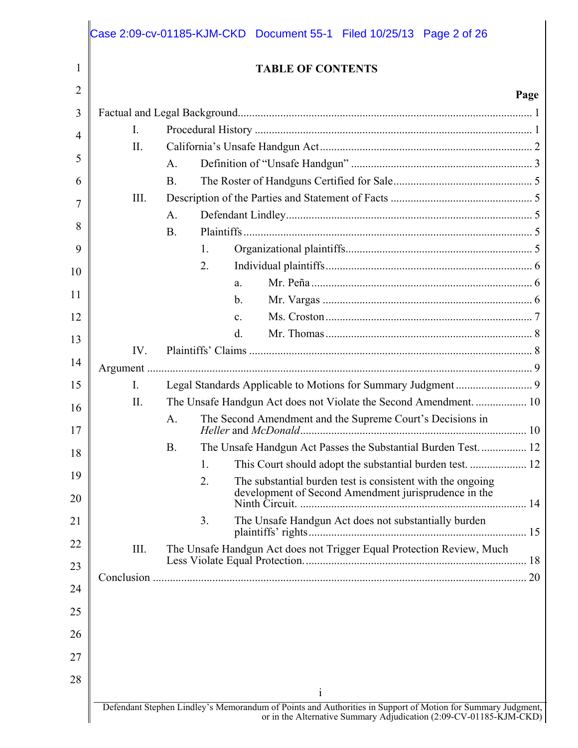|             | <b>TABLE OF CONTENTS</b>                                                                                                 |      |
|-------------|--------------------------------------------------------------------------------------------------------------------------|------|
|             |                                                                                                                          | Page |
|             |                                                                                                                          |      |
| I.          |                                                                                                                          |      |
| II.         |                                                                                                                          |      |
|             | A.                                                                                                                       |      |
|             | <b>B</b> .                                                                                                               |      |
| III.        |                                                                                                                          |      |
|             | $A$ .                                                                                                                    |      |
|             | <b>B.</b>                                                                                                                |      |
|             | 1.                                                                                                                       |      |
|             | 2.                                                                                                                       |      |
|             | a.                                                                                                                       |      |
|             | $\mathbf b$ .                                                                                                            |      |
|             | C <sub>1</sub><br>$d_{\cdot}$                                                                                            |      |
| IV.         |                                                                                                                          |      |
|             |                                                                                                                          |      |
| $I_{\cdot}$ |                                                                                                                          |      |
| II.         | The Unsafe Handgun Act does not Violate the Second Amendment 10                                                          |      |
|             | The Second Amendment and the Supreme Court's Decisions in<br>A <sub>1</sub>                                              |      |
|             | <b>B.</b><br>The Unsafe Handgun Act Passes the Substantial Burden Test 12                                                |      |
|             | 1.                                                                                                                       |      |
|             | 2.<br>The substantial burden test is consistent with the ongoing<br>development of Second Amendment jurisprudence in the |      |
|             | The Unsafe Handgun Act does not substantially burden<br>3.                                                               |      |
| III.        | The Unsafe Handgun Act does not Trigger Equal Protection Review, Much                                                    |      |
|             |                                                                                                                          |      |
|             |                                                                                                                          |      |
|             |                                                                                                                          |      |
|             |                                                                                                                          |      |
|             |                                                                                                                          |      |
|             |                                                                                                                          |      |
|             |                                                                                                                          |      |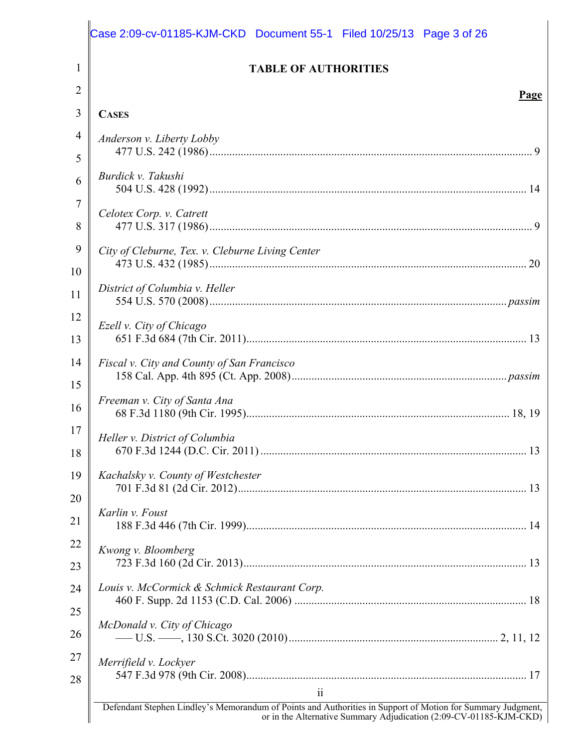|                | Case 2:09-cv-01185-KJM-CKD Document 55-1 Filed 10/25/13 Page 3 of 26                                              |
|----------------|-------------------------------------------------------------------------------------------------------------------|
| 1              | <b>TABLE OF AUTHORITIES</b>                                                                                       |
| 2              | Page                                                                                                              |
| 3              | <b>CASES</b>                                                                                                      |
| $\overline{4}$ | Anderson v. Liberty Lobby                                                                                         |
| 5              |                                                                                                                   |
| 6              | Burdick v. Takushi                                                                                                |
| 7<br>8         | Celotex Corp. v. Catrett                                                                                          |
| 9<br>10        | City of Cleburne, Tex. v. Cleburne Living Center                                                                  |
| 11             | District of Columbia v. Heller                                                                                    |
| 12<br>13       | Ezell v. City of Chicago                                                                                          |
| 14<br>15       | Fiscal v. City and County of San Francisco                                                                        |
| 16             | Freeman v. City of Santa Ana                                                                                      |
| 17<br>18       | Heller v. District of Columbia                                                                                    |
| 19<br>20       | Kachalsky v. County of Westchester                                                                                |
| 21             | Karlin v. Foust                                                                                                   |
| 22<br>23       | Kwong v. Bloomberg                                                                                                |
| 24<br>25       | Louis v. McCormick & Schmick Restaurant Corp.                                                                     |
| 26             | McDonald v. City of Chicago                                                                                       |
| 27<br>28       | Merrifield v. Lockyer                                                                                             |
|                | 11<br>Defendant Stephen Lindley's Memorandum of Points and Authorities in Support of Motion for Summary Judgment, |
|                | or in the Alternative Summary Adjudication (2:09-CV-01185-KJM-CKD)                                                |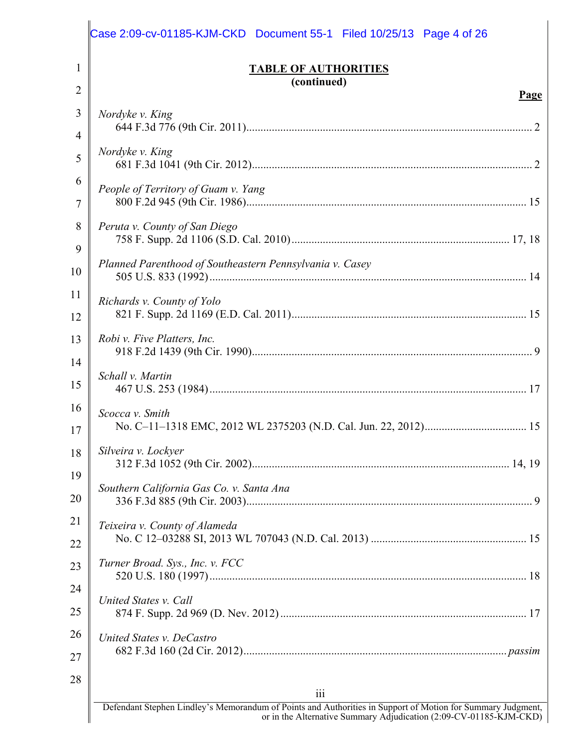|          | Case 2:09-cv-01185-KJM-CKD Document 55-1 Filed 10/25/13 Page 4 of 26                                               |
|----------|--------------------------------------------------------------------------------------------------------------------|
| 1        | <b>TABLE OF AUTHORITIES</b>                                                                                        |
| 2        | (continued)<br>Page                                                                                                |
| 3<br>4   | Nordyke v. King                                                                                                    |
| 5        | Nordyke v. King                                                                                                    |
| 6<br>7   | People of Territory of Guam v. Yang                                                                                |
| 8<br>9   | Peruta v. County of San Diego                                                                                      |
| 10       | Planned Parenthood of Southeastern Pennsylvania v. Casey                                                           |
| 11<br>12 | Richards v. County of Yolo                                                                                         |
| 13<br>14 | Robi v. Five Platters, Inc.                                                                                        |
| 15       | Schall v. Martin                                                                                                   |
| 16<br>17 | Scocca v. Smith                                                                                                    |
| 18<br>19 | Silveira v. Lockyer                                                                                                |
| 20       | Southern California Gas Co. v. Santa Ana                                                                           |
| 21<br>22 | Teixeira v. County of Alameda                                                                                      |
| 23       | Turner Broad. Sys., Inc. v. FCC                                                                                    |
| 24<br>25 | United States v. Call                                                                                              |
| 26<br>27 | United States v. DeCastro                                                                                          |
| 28       |                                                                                                                    |
|          | 111<br>Defendant Stephen Lindley's Memorandum of Points and Authorities in Support of Motion for Summary Judgment, |
|          | or in the Alternative Summary Adjudication (2:09-CV-01185-KJM-CKD)                                                 |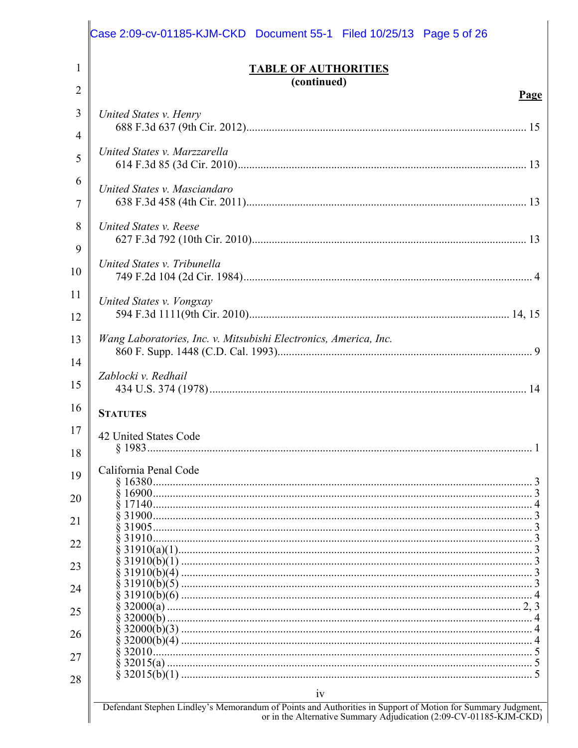|                     | Case 2:09-cv-01185-KJM-CKD Document 55-1 Filed 10/25/13 Page 5 of 26                                                                                                              |
|---------------------|-----------------------------------------------------------------------------------------------------------------------------------------------------------------------------------|
| $\mathbf{1}$        | <b>TABLE OF AUTHORITIES</b><br>(continued)                                                                                                                                        |
| $\overline{2}$      | Page                                                                                                                                                                              |
| 3<br>$\overline{4}$ | United States v. Henry                                                                                                                                                            |
| 5                   | United States v. Marzzarella                                                                                                                                                      |
| 6<br>7              | United States v. Masciandaro                                                                                                                                                      |
| 8<br>9              | United States v. Reese                                                                                                                                                            |
| 10                  | United States v. Tribunella                                                                                                                                                       |
| 11<br>12            | United States v. Vongxay                                                                                                                                                          |
| 13<br>14            | Wang Laboratories, Inc. v. Mitsubishi Electronics, America, Inc.                                                                                                                  |
| 15                  | Zablocki v. Redhail                                                                                                                                                               |
| 16                  | <b>STATUTES</b>                                                                                                                                                                   |
| 17<br>18            | <b>42 United States Code</b>                                                                                                                                                      |
| 19                  | California Penal Code                                                                                                                                                             |
| 20                  |                                                                                                                                                                                   |
| 21                  |                                                                                                                                                                                   |
| 22                  | 31910.                                                                                                                                                                            |
| 23                  |                                                                                                                                                                                   |
| 24                  |                                                                                                                                                                                   |
| 25                  |                                                                                                                                                                                   |
| 26                  |                                                                                                                                                                                   |
| 27                  |                                                                                                                                                                                   |
| 28                  | iv                                                                                                                                                                                |
|                     | Defendant Stephen Lindley's Memorandum of Points and Authorities in Support of Motion for Summary Judgment,<br>or in the Alternative Summary Adjudication (2:09-CV-01185-KJM-CKD) |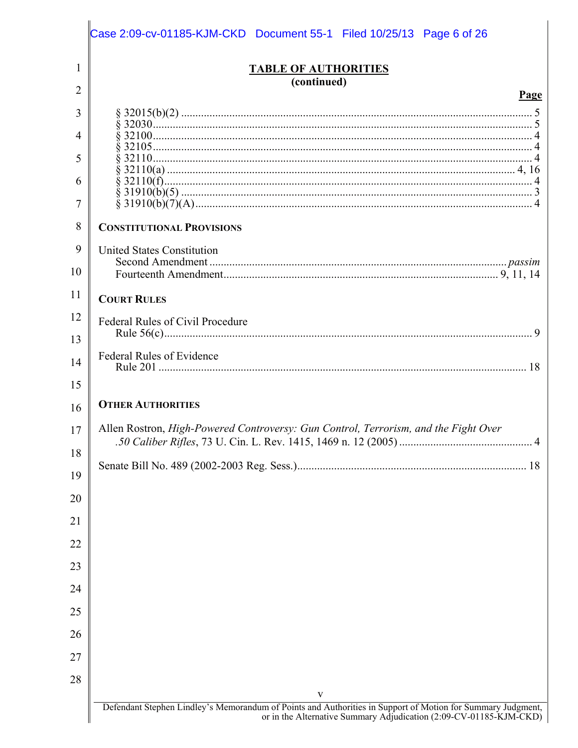|    | Case 2:09-cv-01185-KJM-CKD Document 55-1 Filed 10/25/13 Page 6 of 26                                             |
|----|------------------------------------------------------------------------------------------------------------------|
| 1  | <b>TABLE OF AUTHORITIES</b><br>(continued)                                                                       |
| 2  | <b>Page</b>                                                                                                      |
| 3  |                                                                                                                  |
| 4  |                                                                                                                  |
| 5  |                                                                                                                  |
| 6  |                                                                                                                  |
| 7  |                                                                                                                  |
| 8  | <b>CONSTITUTIONAL PROVISIONS</b>                                                                                 |
| 9  | <b>United States Constitution</b>                                                                                |
| 10 |                                                                                                                  |
| 11 | <b>COURT RULES</b>                                                                                               |
| 12 | Federal Rules of Civil Procedure                                                                                 |
| 13 |                                                                                                                  |
| 14 | Federal Rules of Evidence                                                                                        |
| 15 |                                                                                                                  |
| 16 | <b>OTHER AUTHORITIES</b>                                                                                         |
| 17 | Allen Rostron, High-Powered Controversy: Gun Control, Terrorism, and the Fight Over                              |
| 18 |                                                                                                                  |
| 19 |                                                                                                                  |
| 20 |                                                                                                                  |
| 21 |                                                                                                                  |
| 22 |                                                                                                                  |
| 23 |                                                                                                                  |
| 24 |                                                                                                                  |
| 25 |                                                                                                                  |
| 26 |                                                                                                                  |
| 27 |                                                                                                                  |
| 28 |                                                                                                                  |
|    | V<br>Defendant Stephen Lindley's Memorandum of Points and Authorities in Support of Motion for Summary Judgment, |
|    | or in the Alternative Summary Adjudication (2:09-CV-01185-KJM-CKD)                                               |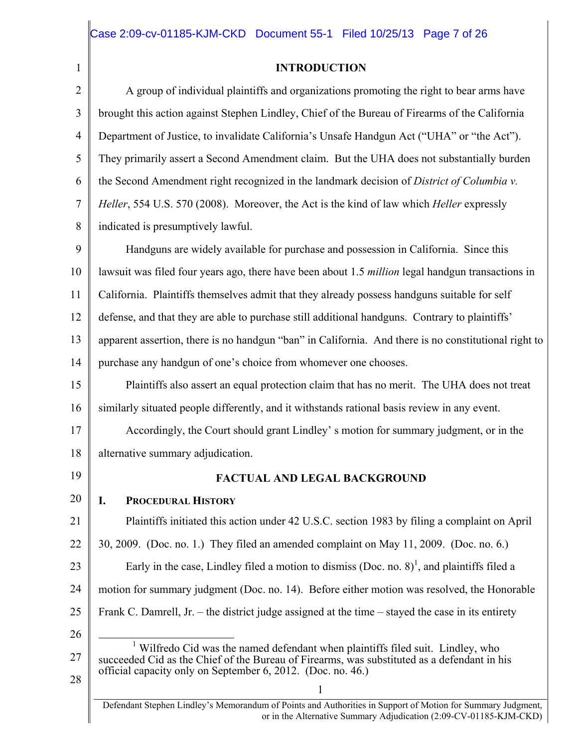#### **INTRODUCTION**

| $\mathbf{r}$   | <b>HARVPUCTIVIA</b>                                                                                                                                                                                                                         |
|----------------|---------------------------------------------------------------------------------------------------------------------------------------------------------------------------------------------------------------------------------------------|
| $\overline{2}$ | A group of individual plaintiffs and organizations promoting the right to bear arms have                                                                                                                                                    |
| 3              | brought this action against Stephen Lindley, Chief of the Bureau of Firearms of the California                                                                                                                                              |
| $\overline{4}$ | Department of Justice, to invalidate California's Unsafe Handgun Act ("UHA" or "the Act").                                                                                                                                                  |
| 5              | They primarily assert a Second Amendment claim. But the UHA does not substantially burden                                                                                                                                                   |
| 6              | the Second Amendment right recognized in the landmark decision of District of Columbia v.                                                                                                                                                   |
| $\overline{7}$ | Heller, 554 U.S. 570 (2008). Moreover, the Act is the kind of law which Heller expressly                                                                                                                                                    |
| 8              | indicated is presumptively lawful.                                                                                                                                                                                                          |
| 9              | Handguns are widely available for purchase and possession in California. Since this                                                                                                                                                         |
| 10             | lawsuit was filed four years ago, there have been about 1.5 million legal handgun transactions in                                                                                                                                           |
| 11             | California. Plaintiffs themselves admit that they already possess handguns suitable for self                                                                                                                                                |
| 12             | defense, and that they are able to purchase still additional handguns. Contrary to plaintiffs'                                                                                                                                              |
| 13             | apparent assertion, there is no handgun "ban" in California. And there is no constitutional right to                                                                                                                                        |
| 14             | purchase any handgun of one's choice from whomever one chooses.                                                                                                                                                                             |
| 15             | Plaintiffs also assert an equal protection claim that has no merit. The UHA does not treat                                                                                                                                                  |
| 16             | similarly situated people differently, and it withstands rational basis review in any event.                                                                                                                                                |
| 17             | Accordingly, the Court should grant Lindley's motion for summary judgment, or in the                                                                                                                                                        |
| 18             | alternative summary adjudication.                                                                                                                                                                                                           |
| 19             | <b>FACTUAL AND LEGAL BACKGROUND</b>                                                                                                                                                                                                         |
| 20             | I.<br><b>PROCEDURAL HISTORY</b>                                                                                                                                                                                                             |
| 21             | Plaintiffs initiated this action under 42 U.S.C. section 1983 by filing a complaint on April                                                                                                                                                |
| 22             | 30, 2009. (Doc. no. 1.) They filed an amended complaint on May 11, 2009. (Doc. no. 6.)                                                                                                                                                      |
| 23             | Early in the case, Lindley filed a motion to dismiss (Doc. no. $8$ ) <sup>1</sup> , and plaintiffs filed a                                                                                                                                  |
| 24             | motion for summary judgment (Doc. no. 14). Before either motion was resolved, the Honorable                                                                                                                                                 |
| 25             | Frank C. Damrell, Jr. – the district judge assigned at the time $-$ stayed the case in its entirety                                                                                                                                         |
| 26             |                                                                                                                                                                                                                                             |
| 27             | Wilfredo Cid was the named defendant when plaintiffs filed suit. Lindley, who<br>succeeded Cid as the Chief of the Bureau of Firearms, was substituted as a defendant in his<br>official capacity only on September 6, 2012. (Doc. no. 46.) |

28

1

Defendant Stephen Lindley's Memorandum of Points and Authorities in Support of Motion for Summary Judgment, or in the Alternative Summary Adjudication (2:09-CV-01185-KJM-CKD)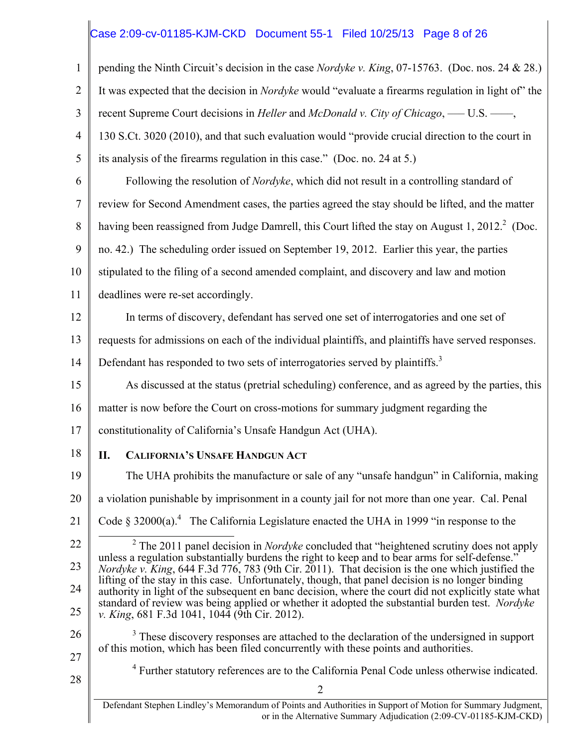# Case 2:09-cv-01185-KJM-CKD Document 55-1 Filed 10/25/13 Page 8 of 26

| $\mathbf{1}$   | pending the Ninth Circuit's decision in the case <i>Nordyke v. King</i> , 07-15763. (Doc. nos. 24 & 28.)                                                                                                   |
|----------------|------------------------------------------------------------------------------------------------------------------------------------------------------------------------------------------------------------|
| $\overline{2}$ | It was expected that the decision in Nordyke would "evaluate a firearms regulation in light of" the                                                                                                        |
| 3              | recent Supreme Court decisions in <i>Heller</i> and <i>McDonald v. City of Chicago</i> , — U.S. — ,                                                                                                        |
| $\overline{4}$ | 130 S.Ct. 3020 (2010), and that such evaluation would "provide crucial direction to the court in                                                                                                           |
| 5              | its analysis of the firearms regulation in this case." (Doc. no. 24 at 5.)                                                                                                                                 |
| 6              | Following the resolution of <i>Nordyke</i> , which did not result in a controlling standard of                                                                                                             |
| $\tau$         | review for Second Amendment cases, the parties agreed the stay should be lifted, and the matter                                                                                                            |
| 8              | having been reassigned from Judge Damrell, this Court lifted the stay on August 1, 2012. <sup>2</sup> (Doc.                                                                                                |
| 9              | no. 42.) The scheduling order issued on September 19, 2012. Earlier this year, the parties                                                                                                                 |
| 10             | stipulated to the filing of a second amended complaint, and discovery and law and motion                                                                                                                   |
| 11             | deadlines were re-set accordingly.                                                                                                                                                                         |
| 12             | In terms of discovery, defendant has served one set of interrogatories and one set of                                                                                                                      |
| 13             | requests for admissions on each of the individual plaintiffs, and plaintiffs have served responses.                                                                                                        |
| 14             | Defendant has responded to two sets of interrogatories served by plaintiffs. <sup>3</sup>                                                                                                                  |
| 15             | As discussed at the status (pretrial scheduling) conference, and as agreed by the parties, this                                                                                                            |
| 16             | matter is now before the Court on cross-motions for summary judgment regarding the                                                                                                                         |
| 17             | constitutionality of California's Unsafe Handgun Act (UHA).                                                                                                                                                |
| 18             | <b>CALIFORNIA'S UNSAFE HANDGUN ACT</b><br>П.                                                                                                                                                               |
| 19             | The UHA prohibits the manufacture or sale of any "unsafe handgun" in California, making                                                                                                                    |
| 20             | a violation punishable by imprisonment in a county jail for not more than one year. Cal. Penal                                                                                                             |
| 21             | Code § 32000(a). <sup>4</sup> The California Legislature enacted the UHA in 1999 "in response to the                                                                                                       |
| 22             | $2$ The 2011 panel decision in <i>Nordyke</i> concluded that "heightened scrutiny does not apply                                                                                                           |
| 23             | unless a regulation substantially burdens the right to keep and to bear arms for self-defense."<br><i>Nordyke v. King, 644 F.3d 776, 783 (9th Cir. 2011). That decision is the one which justified the</i> |
| 24             | lifting of the stay in this case. Unfortunately, though, that panel decision is no longer binding<br>authority in light of the subsequent en banc decision, where the court did not explicitly state what  |
| 25             | standard of review was being applied or whether it adopted the substantial burden test. Nordyke<br>v. King, 681 F.3d 1041, 1044 (9th Cir. 2012).                                                           |
| 26             | <sup>3</sup> These discovery responses are attached to the declaration of the undersigned in support                                                                                                       |
| 27             | of this motion, which has been filed concurrently with these points and authorities.                                                                                                                       |
| 28             | <sup>4</sup> Further statutory references are to the California Penal Code unless otherwise indicated.<br>2                                                                                                |
|                | Defendant Stephen Lindley's Memorandum of Points and Authorities in Support of Motion for Summary Judgment,                                                                                                |
|                | or in the Alternative Summary Adjudication (2:09-CV-01185-KJM-CKD)                                                                                                                                         |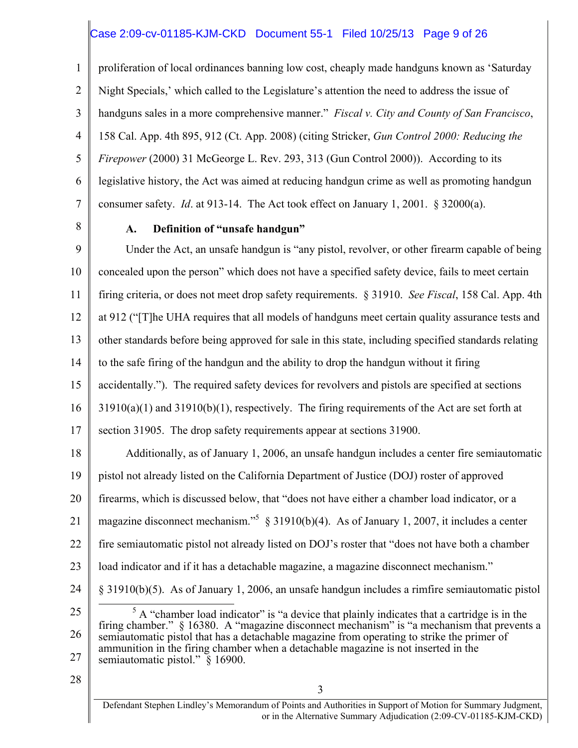## Case 2:09-cv-01185-KJM-CKD Document 55-1 Filed 10/25/13 Page 9 of 26

1 2 3 4 5 6 7 proliferation of local ordinances banning low cost, cheaply made handguns known as 'Saturday Night Specials,' which called to the Legislature's attention the need to address the issue of handguns sales in a more comprehensive manner." *Fiscal v. City and County of San Francisco*, 158 Cal. App. 4th 895, 912 (Ct. App. 2008) (citing Stricker, *Gun Control 2000: Reducing the Firepower* (2000) 31 McGeorge L. Rev. 293, 313 (Gun Control 2000)). According to its legislative history, the Act was aimed at reducing handgun crime as well as promoting handgun consumer safety. *Id*. at 913-14. The Act took effect on January 1, 2001. § 32000(a).

8

#### **A. Definition of "unsafe handgun"**

9 10 11 12 13 14 15 16 17 18 19 20 21 22 23 24 25 Under the Act, an unsafe handgun is "any pistol, revolver, or other firearm capable of being concealed upon the person" which does not have a specified safety device, fails to meet certain firing criteria, or does not meet drop safety requirements. § 31910. *See Fiscal*, 158 Cal. App. 4th at 912 ("[T]he UHA requires that all models of handguns meet certain quality assurance tests and other standards before being approved for sale in this state, including specified standards relating to the safe firing of the handgun and the ability to drop the handgun without it firing accidentally."). The required safety devices for revolvers and pistols are specified at sections 31910(a)(1) and 31910(b)(1), respectively. The firing requirements of the Act are set forth at section 31905. The drop safety requirements appear at sections 31900. Additionally, as of January 1, 2006, an unsafe handgun includes a center fire semiautomatic pistol not already listed on the California Department of Justice (DOJ) roster of approved firearms, which is discussed below, that "does not have either a chamber load indicator, or a magazine disconnect mechanism."<sup>5</sup> § 31910(b)(4). As of January 1, 2007, it includes a center fire semiautomatic pistol not already listed on DOJ's roster that "does not have both a chamber load indicator and if it has a detachable magazine, a magazine disconnect mechanism." § 31910(b)(5). As of January 1, 2006, an unsafe handgun includes a rimfire semiautomatic pistol  $\frac{1}{5}$  $<sup>5</sup>$  A "chamber load indicator" is "a device that plainly indicates that a cartridge is in the</sup>

28

27

Defendant Stephen Lindley's Memorandum of Points and Authorities in Support of Motion for Summary Judgment, or in the Alternative Summary Adjudication (2:09-CV-01185-KJM-CKD)

<sup>26</sup>  firing chamber." § 16380. A "magazine disconnect mechanism" is "a mechanism that prevents a semiautomatic pistol that has a detachable magazine from operating to strike the primer of ammunition in the firing chamber when a detachable magazine is not inserted in the semiautomatic pistol." § 16900.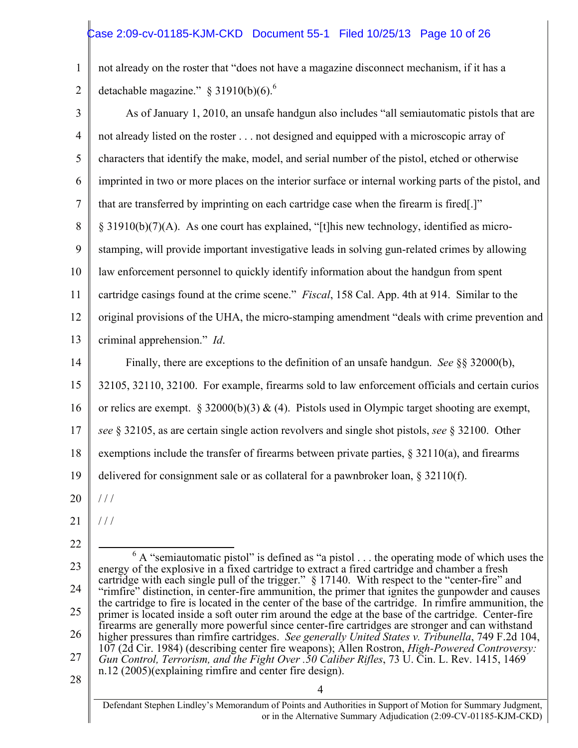# Case 2:09-cv-01185-KJM-CKD Document 55-1 Filed 10/25/13 Page 10 of 26

1 2 not already on the roster that "does not have a magazine disconnect mechanism, if it has a detachable magazine." § 31910(b)(6).<sup>6</sup>

| 3  | As of January 1, 2010, an unsafe handgun also includes "all semiautomatic pistols that are                                                                                                                     |
|----|----------------------------------------------------------------------------------------------------------------------------------------------------------------------------------------------------------------|
| 4  | not already listed on the roster not designed and equipped with a microscopic array of                                                                                                                         |
| 5  | characters that identify the make, model, and serial number of the pistol, etched or otherwise                                                                                                                 |
| 6  | imprinted in two or more places on the interior surface or internal working parts of the pistol, and                                                                                                           |
| 7  | that are transferred by imprinting on each cartridge case when the firearm is fired[.]"                                                                                                                        |
| 8  | $\S$ 31910(b)(7)(A). As one court has explained, "[t]his new technology, identified as micro-                                                                                                                  |
| 9  | stamping, will provide important investigative leads in solving gun-related crimes by allowing                                                                                                                 |
| 10 | law enforcement personnel to quickly identify information about the handgun from spent                                                                                                                         |
| 11 | cartridge casings found at the crime scene." Fiscal, 158 Cal. App. 4th at 914. Similar to the                                                                                                                  |
| 12 | original provisions of the UHA, the micro-stamping amendment "deals with crime prevention and                                                                                                                  |
| 13 | criminal apprehension." Id.                                                                                                                                                                                    |
| 14 | Finally, there are exceptions to the definition of an unsafe handgun. See $\S$ § 32000(b),                                                                                                                     |
| 15 | 32105, 32110, 32100. For example, firearms sold to law enforcement officials and certain curios                                                                                                                |
| 16 | or relics are exempt. § 32000(b)(3) $\&$ (4). Pistols used in Olympic target shooting are exempt,                                                                                                              |
| 17 | see § 32105, as are certain single action revolvers and single shot pistols, see § 32100. Other                                                                                                                |
| 18 | exemptions include the transfer of firearms between private parties, $\S 32110(a)$ , and firearms                                                                                                              |
| 19 | delivered for consignment sale or as collateral for a pawnbroker loan, $\S$ 32110(f).                                                                                                                          |
| 20 | //                                                                                                                                                                                                             |
| 21 | $\frac{1}{2}$                                                                                                                                                                                                  |
| 22 |                                                                                                                                                                                                                |
| 23 | $\delta$ A "semiautomatic pistol" is defined as "a pistol the operating mode of which uses the<br>energy of the explosive in a fixed cartridge to extract a fired cartridge and chamber a fresh                |
| 24 | cartridge with each single pull of the trigger." § 17140. With respect to the "center-fire" and<br>"rimfire" distinction, in center-fire ammunition, the primer that ignites the gunpowder and causes          |
| 25 | the cartridge to fire is located in the center of the base of the cartridge. In rimfire ammunition, the<br>primer is located inside a soft outer rim around the edge at the base of the cartridge. Center-fire |
| 26 | firearms are generally more powerful since center-fire cartridges are stronger and can withstand<br>higher pressures than rimfire cartridges. See generally United States v. Tribunella, 749 F.2d 104,         |
| 27 | 107 (2d Cir. 1984) (describing center fire weapons); Allen Rostron, High-Powered Controversy:<br>Gun Control, Terrorism, and the Fight Over .50 Caliber Rifles, 73 U. Cin. L. Rev. 1415, 1469                  |
| 28 | n.12 (2005)(explaining rimfire and center fire design).<br>4                                                                                                                                                   |
|    |                                                                                                                                                                                                                |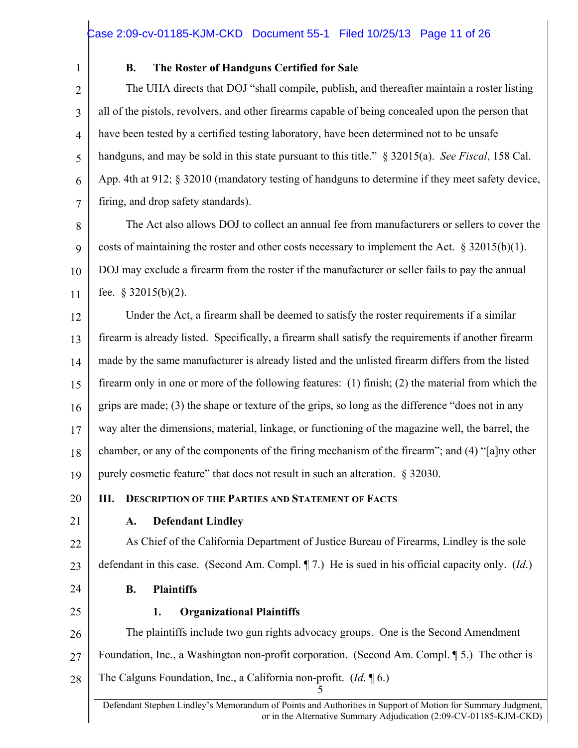1

2

3

4

5

6

7

## **B. The Roster of Handguns Certified for Sale**

The UHA directs that DOJ "shall compile, publish, and thereafter maintain a roster listing all of the pistols, revolvers, and other firearms capable of being concealed upon the person that have been tested by a certified testing laboratory, have been determined not to be unsafe handguns, and may be sold in this state pursuant to this title." § 32015(a). *See Fiscal*, 158 Cal. App. 4th at 912; § 32010 (mandatory testing of handguns to determine if they meet safety device, firing, and drop safety standards).

8 9 10 11 The Act also allows DOJ to collect an annual fee from manufacturers or sellers to cover the costs of maintaining the roster and other costs necessary to implement the Act.  $\S 32015(b)(1)$ . DOJ may exclude a firearm from the roster if the manufacturer or seller fails to pay the annual fee.  $§$  32015(b)(2).

12 13 14 15 16 17 18 19 Under the Act, a firearm shall be deemed to satisfy the roster requirements if a similar firearm is already listed. Specifically, a firearm shall satisfy the requirements if another firearm made by the same manufacturer is already listed and the unlisted firearm differs from the listed firearm only in one or more of the following features: (1) finish; (2) the material from which the grips are made; (3) the shape or texture of the grips, so long as the difference "does not in any way alter the dimensions, material, linkage, or functioning of the magazine well, the barrel, the chamber, or any of the components of the firing mechanism of the firearm"; and (4) "[a]ny other purely cosmetic feature" that does not result in such an alteration. § 32030.

20 **III. DESCRIPTION OF THE PARTIES AND STATEMENT OF FACTS**

21

## **A. Defendant Lindley**

**B. Plaintiffs** 

22 23 As Chief of the California Department of Justice Bureau of Firearms, Lindley is the sole defendant in this case. (Second Am. Compl. ¶ 7.) He is sued in his official capacity only. (*Id*.)

- 24
- 25

## **1. Organizational Plaintiffs**

26 27 28 5 The plaintiffs include two gun rights advocacy groups. One is the Second Amendment Foundation, Inc., a Washington non-profit corporation. (Second Am. Compl. ¶ 5.) The other is The Calguns Foundation, Inc., a California non-profit. (*Id*. ¶ 6.)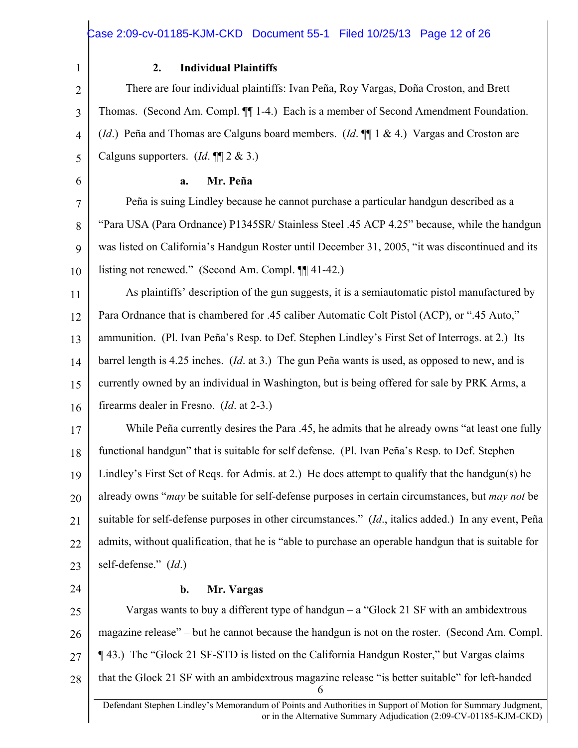2

6

1

#### **2. Individual Plaintiffs**

3 4 5 There are four individual plaintiffs: Ivan Peña, Roy Vargas, Doña Croston, and Brett Thomas. (Second Am. Compl. ¶¶ 1-4.) Each is a member of Second Amendment Foundation. (*Id*.) Peña and Thomas are Calguns board members. (*Id*. ¶¶ 1 & 4.) Vargas and Croston are Calguns supporters. (*Id*. ¶¶ 2 & 3.)

#### **a. Mr. Peña**

7 8 9 10 Peña is suing Lindley because he cannot purchase a particular handgun described as a "Para USA (Para Ordnance) P1345SR/ Stainless Steel .45 ACP 4.25" because, while the handgun was listed on California's Handgun Roster until December 31, 2005, "it was discontinued and its listing not renewed." (Second Am. Compl. ¶¶ 41-42.)

11 12 13 14 15 16 As plaintiffs' description of the gun suggests, it is a semiautomatic pistol manufactured by Para Ordnance that is chambered for .45 caliber Automatic Colt Pistol (ACP), or ".45 Auto," ammunition. (Pl. Ivan Peña's Resp. to Def. Stephen Lindley's First Set of Interrogs. at 2.) Its barrel length is 4.25 inches. (*Id*. at 3.) The gun Peña wants is used, as opposed to new, and is currently owned by an individual in Washington, but is being offered for sale by PRK Arms, a firearms dealer in Fresno. (*Id*. at 2-3.)

17 18 19 20 21 22 23 While Peña currently desires the Para .45, he admits that he already owns "at least one fully functional handgun" that is suitable for self defense. (Pl. Ivan Peña's Resp. to Def. Stephen Lindley's First Set of Reqs. for Admis. at 2.) He does attempt to qualify that the handgun(s) he already owns "*may* be suitable for self-defense purposes in certain circumstances, but *may not* be suitable for self-defense purposes in other circumstances." (*Id*., italics added.) In any event, Peña admits, without qualification, that he is "able to purchase an operable handgun that is suitable for self-defense." (*Id*.)

24

#### **b. Mr. Vargas**

25 26 27 28 6 Vargas wants to buy a different type of handgun  $-$  a "Glock 21 SF with an ambidextrous magazine release" – but he cannot because the handgun is not on the roster. (Second Am. Compl. ¶ 43.) The "Glock 21 SF-STD is listed on the California Handgun Roster," but Vargas claims that the Glock 21 SF with an ambidextrous magazine release "is better suitable" for left-handed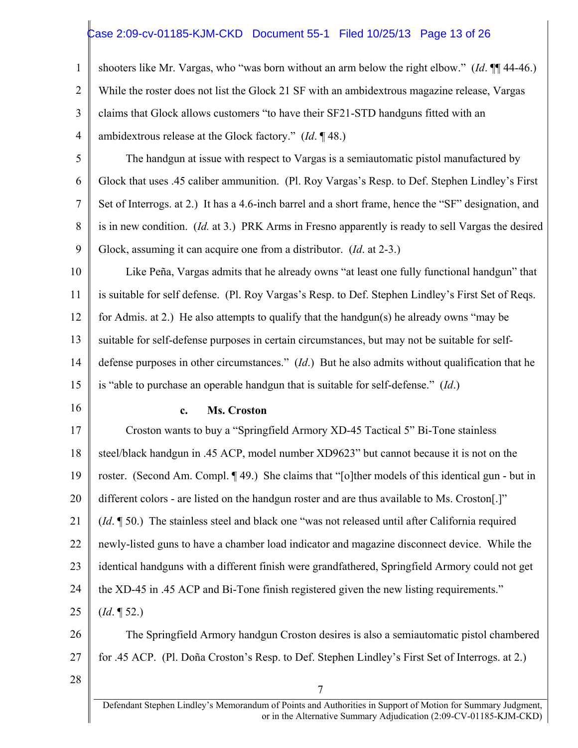## Case 2:09-cv-01185-KJM-CKD Document 55-1 Filed 10/25/13 Page 13 of 26

1 2 3 4 shooters like Mr. Vargas, who "was born without an arm below the right elbow." (*Id*. ¶¶ 44-46.) While the roster does not list the Glock 21 SF with an ambidextrous magazine release, Vargas claims that Glock allows customers "to have their SF21-STD handguns fitted with an ambidextrous release at the Glock factory." (*Id*. ¶ 48.)

5 6

7 8 9 The handgun at issue with respect to Vargas is a semiautomatic pistol manufactured by Glock that uses .45 caliber ammunition. (Pl. Roy Vargas's Resp. to Def. Stephen Lindley's First Set of Interrogs. at 2.) It has a 4.6-inch barrel and a short frame, hence the "SF" designation, and is in new condition. (*Id.* at 3.) PRK Arms in Fresno apparently is ready to sell Vargas the desired Glock, assuming it can acquire one from a distributor. (*Id*. at 2-3.)

10 11 12 13 14 15 Like Peña, Vargas admits that he already owns "at least one fully functional handgun" that is suitable for self defense. (Pl. Roy Vargas's Resp. to Def. Stephen Lindley's First Set of Reqs. for Admis. at 2.) He also attempts to qualify that the handgun(s) he already owns "may be suitable for self-defense purposes in certain circumstances, but may not be suitable for selfdefense purposes in other circumstances." (*Id*.) But he also admits without qualification that he is "able to purchase an operable handgun that is suitable for self-defense." (*Id*.)

16

#### **c. Ms. Croston**

17 18 19 20 21 22 23 24 25 Croston wants to buy a "Springfield Armory XD-45 Tactical 5" Bi-Tone stainless steel/black handgun in .45 ACP, model number XD9623" but cannot because it is not on the roster. (Second Am. Compl. ¶ 49.) She claims that "[o]ther models of this identical gun - but in different colors - are listed on the handgun roster and are thus available to Ms. Croston[.]" (*Id*. ¶ 50.) The stainless steel and black one "was not released until after California required newly-listed guns to have a chamber load indicator and magazine disconnect device. While the identical handguns with a different finish were grandfathered, Springfield Armory could not get the XD-45 in .45 ACP and Bi-Tone finish registered given the new listing requirements." (*Id*. ¶ 52.)

26 27 The Springfield Armory handgun Croston desires is also a semiautomatic pistol chambered for .45 ACP. (Pl. Doña Croston's Resp. to Def. Stephen Lindley's First Set of Interrogs. at 2.)

28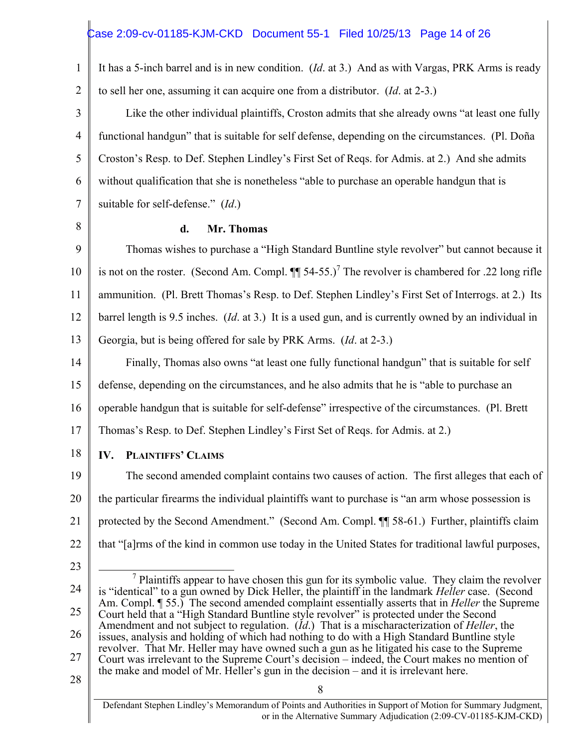## Case 2:09-cv-01185-KJM-CKD Document 55-1 Filed 10/25/13 Page 14 of 26

1 2 It has a 5-inch barrel and is in new condition. (*Id*. at 3.) And as with Vargas, PRK Arms is ready to sell her one, assuming it can acquire one from a distributor. (*Id*. at 2-3.)

3 4 5 6 7 Like the other individual plaintiffs, Croston admits that she already owns "at least one fully functional handgun" that is suitable for self defense, depending on the circumstances. (Pl. Doña Croston's Resp. to Def. Stephen Lindley's First Set of Reqs. for Admis. at 2.) And she admits without qualification that she is nonetheless "able to purchase an operable handgun that is suitable for self-defense." (*Id*.)

8

#### **d. Mr. Thomas**

9 10 11 12 13 Thomas wishes to purchase a "High Standard Buntline style revolver" but cannot because it is not on the roster. (Second Am. Compl.  $\P\P$  54-55.)<sup>7</sup> The revolver is chambered for .22 long rifle ammunition. (Pl. Brett Thomas's Resp. to Def. Stephen Lindley's First Set of Interrogs. at 2.) Its barrel length is 9.5 inches. (*Id*. at 3.) It is a used gun, and is currently owned by an individual in Georgia, but is being offered for sale by PRK Arms. (*Id*. at 2-3.)

14 15 16 17 Finally, Thomas also owns "at least one fully functional handgun" that is suitable for self defense, depending on the circumstances, and he also admits that he is "able to purchase an operable handgun that is suitable for self-defense" irrespective of the circumstances. (Pl. Brett Thomas's Resp. to Def. Stephen Lindley's First Set of Reqs. for Admis. at 2.)

18

#### **IV. PLAINTIFFS' CLAIMS**

19 20 21 22 The second amended complaint contains two causes of action. The first alleges that each of the particular firearms the individual plaintiffs want to purchase is "an arm whose possession is protected by the Second Amendment." (Second Am. Compl. ¶¶ 58-61.) Further, plaintiffs claim that "[a]rms of the kind in common use today in the United States for traditional lawful purposes,

- 23
- 24 25 26 27 28 7  $\alpha$ <sup>7</sup> Plaintiffs appear to have chosen this gun for its symbolic value. They claim the revolver is "identical" to a gun owned by Dick Heller, the plaintiff in the landmark *Heller* case. (Second Am. Compl. **[55.]** The second amended complaint essentially asserts that in *Heller* the Supreme Court held that a "High Standard Buntline style revolver" is protected under the Second Amendment and not subject to regulation. (*Id*.) That is a mischaracterization of *Heller*, the issues, analysis and holding of which had nothing to do with a High Standard Buntline style revolver. That Mr. Heller may have owned such a gun as he litigated his case to the Supreme Court was irrelevant to the Supreme Court's decision – indeed, the Court makes no mention of the make and model of Mr. Heller's gun in the decision – and it is irrelevant here.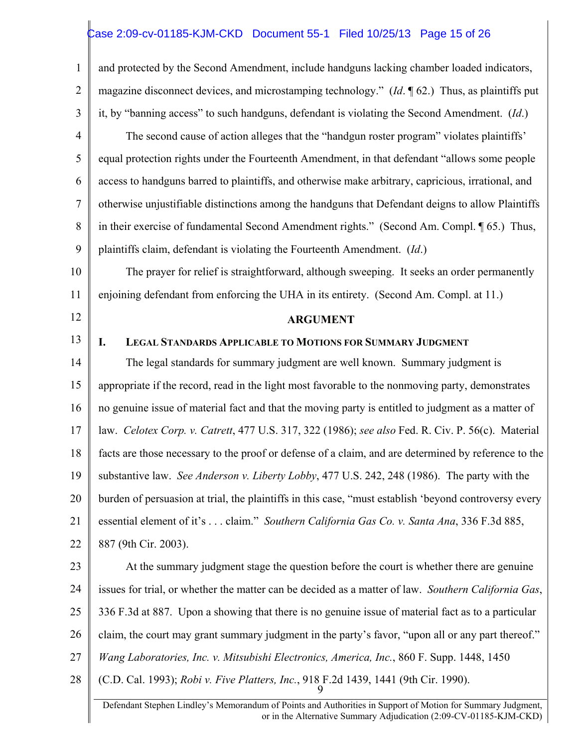## Case 2:09-cv-01185-KJM-CKD Document 55-1 Filed 10/25/13 Page 15 of 26

1 2 3 4 5 6 7 8 9 10 11 12 13 14 15 16 17 18 19 20 21 22 23 24 25 26 27 28 9 and protected by the Second Amendment, include handguns lacking chamber loaded indicators, magazine disconnect devices, and microstamping technology." (*Id*. ¶ 62.) Thus, as plaintiffs put it, by "banning access" to such handguns, defendant is violating the Second Amendment. (*Id*.) The second cause of action alleges that the "handgun roster program" violates plaintiffs' equal protection rights under the Fourteenth Amendment, in that defendant "allows some people access to handguns barred to plaintiffs, and otherwise make arbitrary, capricious, irrational, and otherwise unjustifiable distinctions among the handguns that Defendant deigns to allow Plaintiffs in their exercise of fundamental Second Amendment rights." (Second Am. Compl. ¶ 65.) Thus, plaintiffs claim, defendant is violating the Fourteenth Amendment. (*Id*.) The prayer for relief is straightforward, although sweeping. It seeks an order permanently enjoining defendant from enforcing the UHA in its entirety. (Second Am. Compl. at 11.) **ARGUMENT I. LEGAL STANDARDS APPLICABLE TO MOTIONS FOR SUMMARY JUDGMENT** The legal standards for summary judgment are well known. Summary judgment is appropriate if the record, read in the light most favorable to the nonmoving party, demonstrates no genuine issue of material fact and that the moving party is entitled to judgment as a matter of law. *Celotex Corp. v. Catrett*, 477 U.S. 317, 322 (1986); *see also* Fed. R. Civ. P. 56(c). Material facts are those necessary to the proof or defense of a claim, and are determined by reference to the substantive law. *See Anderson v. Liberty Lobby*, 477 U.S. 242, 248 (1986). The party with the burden of persuasion at trial, the plaintiffs in this case, "must establish 'beyond controversy every essential element of it's . . . claim." *Southern California Gas Co. v. Santa Ana*, 336 F.3d 885, 887 (9th Cir. 2003). At the summary judgment stage the question before the court is whether there are genuine issues for trial, or whether the matter can be decided as a matter of law. *Southern California Gas*, 336 F.3d at 887. Upon a showing that there is no genuine issue of material fact as to a particular claim, the court may grant summary judgment in the party's favor, "upon all or any part thereof." *Wang Laboratories, Inc. v. Mitsubishi Electronics, America, Inc.*, 860 F. Supp. 1448, 1450 (C.D. Cal. 1993); *Robi v. Five Platters, Inc.*, 918 F.2d 1439, 1441 (9th Cir. 1990).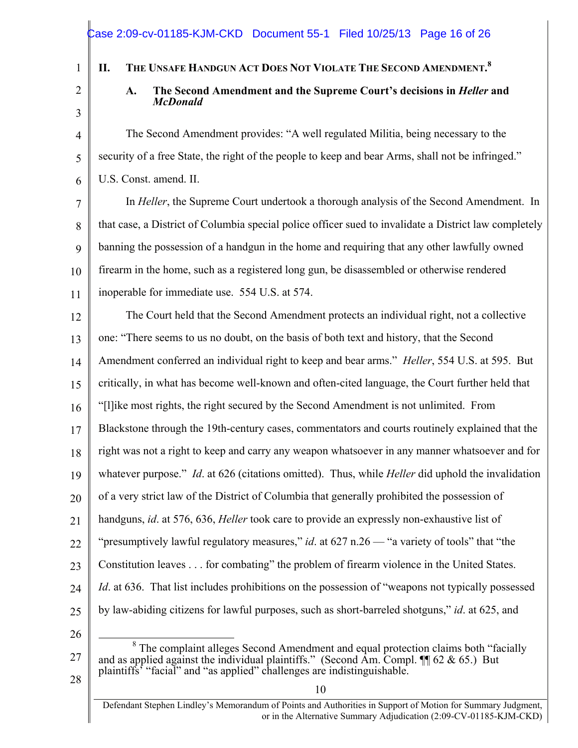### **II. THE UNSAFE HANDGUN ACT DOES NOT VIOLATE THE SECOND AMENDMENT. 8**

2 3

4

5

6

1

#### **A. The Second Amendment and the Supreme Court's decisions in** *Heller* **and**  *McDonald*

The Second Amendment provides: "A well regulated Militia, being necessary to the security of a free State, the right of the people to keep and bear Arms, shall not be infringed." U.S. Const. amend. II.

7 8 9 10 11 In *Heller*, the Supreme Court undertook a thorough analysis of the Second Amendment. In that case, a District of Columbia special police officer sued to invalidate a District law completely banning the possession of a handgun in the home and requiring that any other lawfully owned firearm in the home, such as a registered long gun, be disassembled or otherwise rendered inoperable for immediate use. 554 U.S. at 574.

12 13 14 15 16 17 18 19 20 21 22 23 24 25 The Court held that the Second Amendment protects an individual right, not a collective one: "There seems to us no doubt, on the basis of both text and history, that the Second Amendment conferred an individual right to keep and bear arms." *Heller*, 554 U.S. at 595. But critically, in what has become well-known and often-cited language, the Court further held that "[l]ike most rights, the right secured by the Second Amendment is not unlimited. From Blackstone through the 19th-century cases, commentators and courts routinely explained that the right was not a right to keep and carry any weapon whatsoever in any manner whatsoever and for whatever purpose." *Id*. at 626 (citations omitted). Thus, while *Heller* did uphold the invalidation of a very strict law of the District of Columbia that generally prohibited the possession of handguns, *id*. at 576, 636, *Heller* took care to provide an expressly non-exhaustive list of "presumptively lawful regulatory measures," *id*. at 627 n.26 — "a variety of tools" that "the Constitution leaves . . . for combating" the problem of firearm violence in the United States. *Id.* at 636. That list includes prohibitions on the possession of "weapons not typically possessed by law-abiding citizens for lawful purposes, such as short-barreled shotguns," *id*. at 625, and

26

27

 8 <sup>8</sup> The complaint alleges Second Amendment and equal protection claims both "facially" and as applied against the individual plaintiffs." (Second Am. Compl.  $\P$  62 & 65.) But plaintiffs' "facial" and "as applied" challenges are indistinguishable.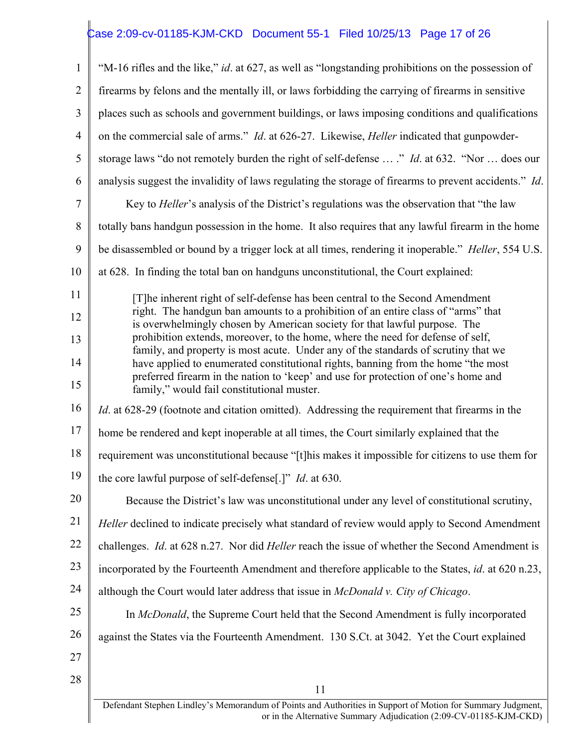# Case 2:09-cv-01185-KJM-CKD Document 55-1 Filed 10/25/13 Page 17 of 26

| $\mathbf{1}$   | "M-16 rifles and the like," id. at 627, as well as "longstanding prohibitions on the possession of                                                                      |
|----------------|-------------------------------------------------------------------------------------------------------------------------------------------------------------------------|
| $\overline{2}$ | firearms by felons and the mentally ill, or laws forbidding the carrying of firearms in sensitive                                                                       |
| 3              | places such as schools and government buildings, or laws imposing conditions and qualifications                                                                         |
| $\overline{4}$ | on the commercial sale of arms." <i>Id.</i> at 626-27. Likewise, <i>Heller</i> indicated that gunpowder-                                                                |
| 5              | storage laws "do not remotely burden the right of self-defense  ." <i>Id.</i> at 632. "Nor  does our                                                                    |
| 6              | analysis suggest the invalidity of laws regulating the storage of firearms to prevent accidents." Id.                                                                   |
| 7              | Key to <i>Heller's</i> analysis of the District's regulations was the observation that "the law                                                                         |
| 8              | totally bans handgun possession in the home. It also requires that any lawful firearm in the home                                                                       |
| 9              | be disassembled or bound by a trigger lock at all times, rendering it inoperable." <i>Heller</i> , 554 U.S.                                                             |
| 10             | at 628. In finding the total ban on handguns unconstitutional, the Court explained:                                                                                     |
| 11             | [T]he inherent right of self-defense has been central to the Second Amendment                                                                                           |
| 12             | right. The handgun ban amounts to a prohibition of an entire class of "arms" that<br>is overwhelmingly chosen by American society for that lawful purpose. The          |
| 13             | prohibition extends, moreover, to the home, where the need for defense of self,<br>family, and property is most acute. Under any of the standards of scrutiny that we   |
| 14             | have applied to enumerated constitutional rights, banning from the home "the most<br>preferred firearm in the nation to 'keep' and use for protection of one's home and |
| 15             | family," would fail constitutional muster.                                                                                                                              |
| 16             | <i>Id.</i> at 628-29 (footnote and citation omitted). Addressing the requirement that firearms in the                                                                   |
| 17             | home be rendered and kept inoperable at all times, the Court similarly explained that the                                                                               |
| 18             | requirement was unconstitutional because "[t]his makes it impossible for citizens to use them for                                                                       |
| 19             | the core lawful purpose of self-defense <sup>[.]"</sup> <i>Id.</i> at 630.                                                                                              |
| 20             | Because the District's law was unconstitutional under any level of constitutional scrutiny,                                                                             |
| 21             | <i>Heller</i> declined to indicate precisely what standard of review would apply to Second Amendment                                                                    |
| 22             | challenges. <i>Id.</i> at 628 n.27. Nor did <i>Heller</i> reach the issue of whether the Second Amendment is                                                            |
| 23             | incorporated by the Fourteenth Amendment and therefore applicable to the States, <i>id.</i> at 620 n.23,                                                                |
| 24             | although the Court would later address that issue in McDonald v. City of Chicago.                                                                                       |
| 25             | In <i>McDonald</i> , the Supreme Court held that the Second Amendment is fully incorporated                                                                             |
| 26             | against the States via the Fourteenth Amendment. 130 S.Ct. at 3042. Yet the Court explained                                                                             |
| 27             |                                                                                                                                                                         |
| 28             | 11                                                                                                                                                                      |
|                | Defendant Stephen Lindley's Memorandum of Points and Authorities in Support of Motion for Summary Judgment,                                                             |
|                | or in the Alternative Summary Adjudication (2:09-CV-01185-KJM-CKD)                                                                                                      |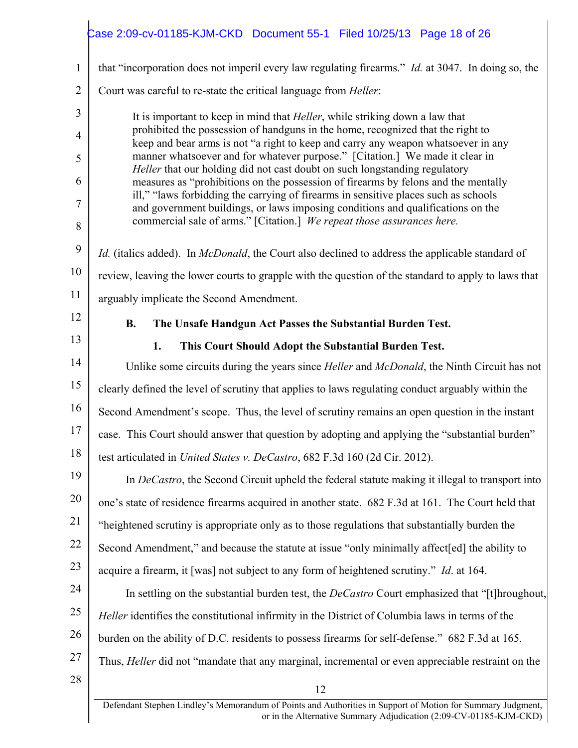|                | Case 2:09-cv-01185-KJM-CKD Document 55-1 Filed 10/25/13 Page 18 of 26                                                                                                                                                                            |
|----------------|--------------------------------------------------------------------------------------------------------------------------------------------------------------------------------------------------------------------------------------------------|
| $\mathbf{1}$   | that "incorporation does not imperil every law regulating firearms." Id. at 3047. In doing so, the                                                                                                                                               |
| $\overline{2}$ | Court was careful to re-state the critical language from <i>Heller</i> :                                                                                                                                                                         |
| 3              | It is important to keep in mind that <i>Heller</i> , while striking down a law that                                                                                                                                                              |
| $\overline{4}$ | prohibited the possession of handguns in the home, recognized that the right to<br>keep and bear arms is not "a right to keep and carry any weapon whatsoever in any                                                                             |
| 5              | manner whatsoever and for whatever purpose." [Citation.] We made it clear in<br>Heller that our holding did not cast doubt on such longstanding regulatory                                                                                       |
| 6              | measures as "prohibitions on the possession of firearms by felons and the mentally                                                                                                                                                               |
| 7<br>8         | ill," "laws forbidding the carrying of firearms in sensitive places such as schools<br>and government buildings, or laws imposing conditions and qualifications on the<br>commercial sale of arms." [Citation.] We repeat those assurances here. |
| 9              | <i>Id.</i> (italics added). In <i>McDonald</i> , the Court also declined to address the applicable standard of                                                                                                                                   |
| 10             | review, leaving the lower courts to grapple with the question of the standard to apply to laws that                                                                                                                                              |
| 11             | arguably implicate the Second Amendment.                                                                                                                                                                                                         |
| 12             | <b>B.</b><br>The Unsafe Handgun Act Passes the Substantial Burden Test.                                                                                                                                                                          |
| 13             | 1.<br>This Court Should Adopt the Substantial Burden Test.                                                                                                                                                                                       |
| 14             | Unlike some circuits during the years since <i>Heller</i> and <i>McDonald</i> , the Ninth Circuit has not                                                                                                                                        |
| 15             | clearly defined the level of scrutiny that applies to laws regulating conduct arguably within the                                                                                                                                                |
| 16             | Second Amendment's scope. Thus, the level of scrutiny remains an open question in the instant                                                                                                                                                    |
| 17             | case. This Court should answer that question by adopting and applying the "substantial burden"                                                                                                                                                   |
| 18             | test articulated in <i>United States v. DeCastro</i> , 682 F.3d 160 (2d Cir. 2012).                                                                                                                                                              |
| 19             | In DeCastro, the Second Circuit upheld the federal statute making it illegal to transport into                                                                                                                                                   |
| 20             | one's state of residence firearms acquired in another state. 682 F.3d at 161. The Court held that                                                                                                                                                |
| 21             | "heightened scrutiny is appropriate only as to those regulations that substantially burden the                                                                                                                                                   |
| 22             | Second Amendment," and because the statute at issue "only minimally affect [ed] the ability to                                                                                                                                                   |
| 23             | acquire a firearm, it [was] not subject to any form of heightened scrutiny." Id. at 164.                                                                                                                                                         |
| 24             | In settling on the substantial burden test, the <i>DeCastro</i> Court emphasized that "[t]hroughout,                                                                                                                                             |
| 25             | <i>Heller</i> identifies the constitutional infirmity in the District of Columbia laws in terms of the                                                                                                                                           |
| 26             | burden on the ability of D.C. residents to possess firearms for self-defense." 682 F.3d at 165.                                                                                                                                                  |
| 27             | Thus, <i>Heller</i> did not "mandate that any marginal, incremental or even appreciable restraint on the                                                                                                                                         |
| 28             | 12                                                                                                                                                                                                                                               |
|                | Defendant Stephen Lindley's Memorandum of Points and Authorities in Support of Motion for Summary Judgment,<br>or in the Alternative Summary Adjudication (2:09-CV-01185-KJM-CKD)                                                                |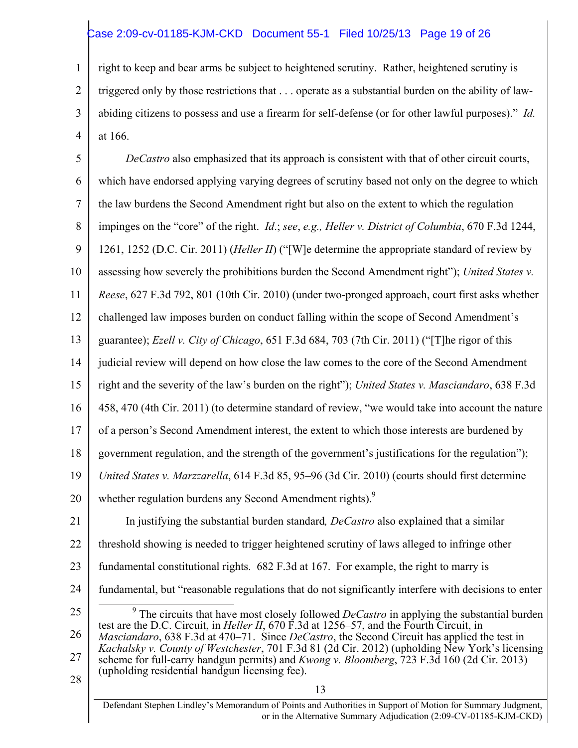## Case 2:09-cv-01185-KJM-CKD Document 55-1 Filed 10/25/13 Page 19 of 26

1 2 3 4 right to keep and bear arms be subject to heightened scrutiny. Rather, heightened scrutiny is triggered only by those restrictions that . . . operate as a substantial burden on the ability of lawabiding citizens to possess and use a firearm for self-defense (or for other lawful purposes)." *Id.* at 166.

5 6 7 8 9 10 11 12 13 14 15 16 17 18 19 20 21 22 23 24 25 26 27 28 13 Defendant Stephen Lindley's Memorandum of Points and Authorities in Support of Motion for Summary Judgment, or in the Alternative Summary Adjudication (2:09-CV-01185-KJM-CKD) *DeCastro* also emphasized that its approach is consistent with that of other circuit courts, which have endorsed applying varying degrees of scrutiny based not only on the degree to which the law burdens the Second Amendment right but also on the extent to which the regulation impinges on the "core" of the right. *Id*.; *see*, *e.g., Heller v. District of Columbia*, 670 F.3d 1244, 1261, 1252 (D.C. Cir. 2011) (*Heller II*) ("[W]e determine the appropriate standard of review by assessing how severely the prohibitions burden the Second Amendment right"); *United States v. Reese*, 627 F.3d 792, 801 (10th Cir. 2010) (under two-pronged approach, court first asks whether challenged law imposes burden on conduct falling within the scope of Second Amendment's guarantee); *Ezell v. City of Chicago*, 651 F.3d 684, 703 (7th Cir. 2011) ("[T]he rigor of this judicial review will depend on how close the law comes to the core of the Second Amendment right and the severity of the law's burden on the right"); *United States v. Masciandaro*, 638 F.3d 458, 470 (4th Cir. 2011) (to determine standard of review, "we would take into account the nature of a person's Second Amendment interest, the extent to which those interests are burdened by government regulation, and the strength of the government's justifications for the regulation"); *United States v. Marzzarella*, 614 F.3d 85, 95–96 (3d Cir. 2010) (courts should first determine whether regulation burdens any Second Amendment rights).<sup>9</sup> In justifying the substantial burden standard*, DeCastro* also explained that a similar threshold showing is needed to trigger heightened scrutiny of laws alleged to infringe other fundamental constitutional rights. 682 F.3d at 167. For example, the right to marry is fundamental, but "reasonable regulations that do not significantly interfere with decisions to enter 9  $\sigma$ <sup>9</sup> The circuits that have most closely followed *DeCastro* in applying the substantial burden test are the D.C. Circuit, in *Heller II*, 670 F.3d at 1256–57, and the Fourth Circuit, in *Masciandaro*, 638 F.3d at 470–71. Since *DeCastro*, the Second Circuit has applied the test in *Kachalsky v. County of Westchester*, 701 F.3d 81 (2d Cir. 2012) (upholding New York's licensing scheme for full-carry handgun permits) and *Kwong v. Bloomberg*, 723 F.3d 160 (2d Cir. 2013) (upholding residential handgun licensing fee).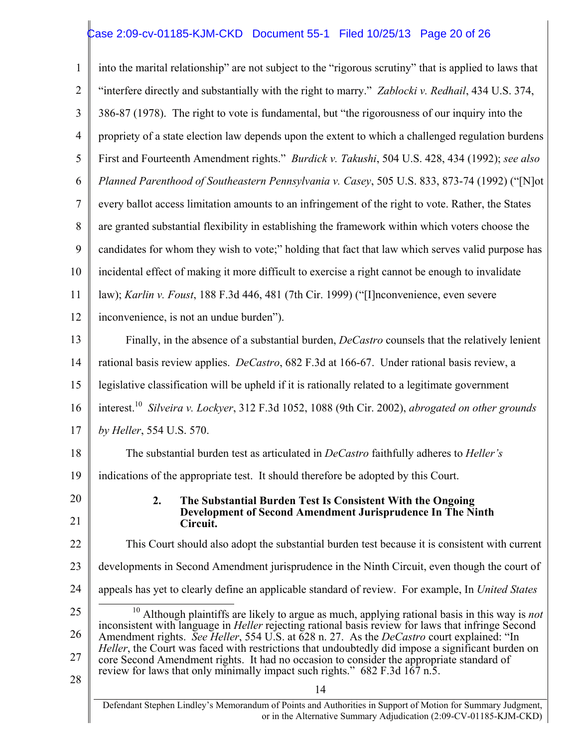## Case 2:09-cv-01185-KJM-CKD Document 55-1 Filed 10/25/13 Page 20 of 26

1 2 3 4 5 6 7 8 9 10 11 12 13 14 15 16 17 18 19 20 21 22 23 24 25 26 27 28 14 Defendant Stephen Lindley's Memorandum of Points and Authorities in Support of Motion for Summary Judgment, or in the Alternative Summary Adjudication (2:09-CV-01185-KJM-CKD) into the marital relationship" are not subject to the "rigorous scrutiny" that is applied to laws that "interfere directly and substantially with the right to marry." *Zablocki v. Redhail*, 434 U.S. 374, 386-87 (1978). The right to vote is fundamental, but "the rigorousness of our inquiry into the propriety of a state election law depends upon the extent to which a challenged regulation burdens First and Fourteenth Amendment rights." *Burdick v. Takushi*, 504 U.S. 428, 434 (1992); *see also Planned Parenthood of Southeastern Pennsylvania v. Casey*, 505 U.S. 833, 873-74 (1992) ("[N]ot every ballot access limitation amounts to an infringement of the right to vote. Rather, the States are granted substantial flexibility in establishing the framework within which voters choose the candidates for whom they wish to vote;" holding that fact that law which serves valid purpose has incidental effect of making it more difficult to exercise a right cannot be enough to invalidate law); *Karlin v. Foust*, 188 F.3d 446, 481 (7th Cir. 1999) ("[I]nconvenience, even severe inconvenience, is not an undue burden"). Finally, in the absence of a substantial burden, *DeCastro* counsels that the relatively lenient rational basis review applies. *DeCastro*, 682 F.3d at 166-67. Under rational basis review, a legislative classification will be upheld if it is rationally related to a legitimate government interest.10 *Silveira v. Lockyer*, 312 F.3d 1052, 1088 (9th Cir. 2002), *abrogated on other grounds by Heller*, 554 U.S. 570. The substantial burden test as articulated in *DeCastro* faithfully adheres to *Heller's* indications of the appropriate test. It should therefore be adopted by this Court. **2. The Substantial Burden Test Is Consistent With the Ongoing Development of Second Amendment Jurisprudence In The Ninth Circuit.**  This Court should also adopt the substantial burden test because it is consistent with current developments in Second Amendment jurisprudence in the Ninth Circuit, even though the court of appeals has yet to clearly define an applicable standard of review. For example, In *United States*  10 Although plaintiffs are likely to argue as much, applying rational basis in this way is *not* inconsistent with language in *Heller* rejecting rational basis review for laws that infringe Second Amendment rights. *See Heller*, 554 U.S. at 628 n. 27. As the *DeCastro* court explained: "In *Heller*, the Court was faced with restrictions that undoubtedly did impose a significant burden on core Second Amendment rights. It had no occasion to consider the appropriate standard of review for laws that only minimally impact such rights." 682 F.3d 167 n.5.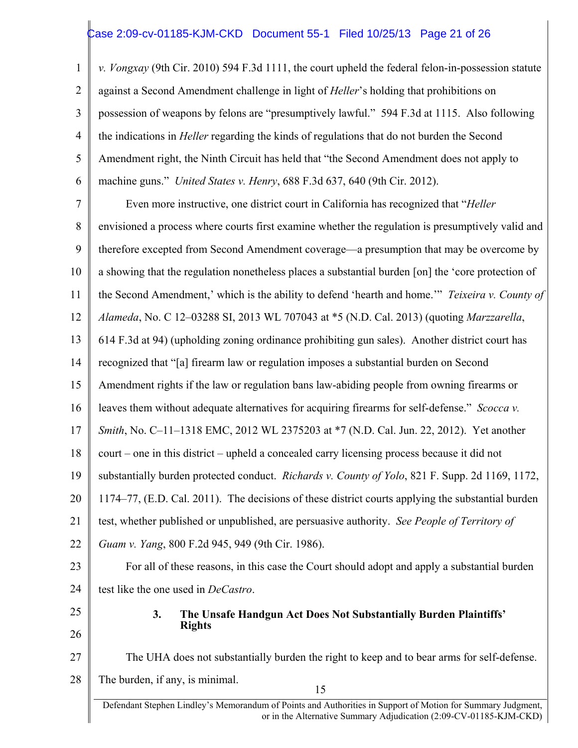## Case 2:09-cv-01185-KJM-CKD Document 55-1 Filed 10/25/13 Page 21 of 26

1 2 3 4 5 6 *v. Vongxay* (9th Cir. 2010) 594 F.3d 1111, the court upheld the federal felon-in-possession statute against a Second Amendment challenge in light of *Heller*'s holding that prohibitions on possession of weapons by felons are "presumptively lawful." 594 F.3d at 1115. Also following the indications in *Heller* regarding the kinds of regulations that do not burden the Second Amendment right, the Ninth Circuit has held that "the Second Amendment does not apply to machine guns." *United States v. Henry*, 688 F.3d 637, 640 (9th Cir. 2012).

7 8 9 10 11 12 13 14 15 16 17 18 19 20 21 22 23 24 25 Even more instructive, one district court in California has recognized that "*Heller* envisioned a process where courts first examine whether the regulation is presumptively valid and therefore excepted from Second Amendment coverage—a presumption that may be overcome by a showing that the regulation nonetheless places a substantial burden [on] the 'core protection of the Second Amendment,' which is the ability to defend 'hearth and home.'" *Teixeira v. County of Alameda*, No. C 12–03288 SI, 2013 WL 707043 at \*5 (N.D. Cal. 2013) (quoting *Marzzarella*, 614 F.3d at 94) (upholding zoning ordinance prohibiting gun sales). Another district court has recognized that "[a] firearm law or regulation imposes a substantial burden on Second Amendment rights if the law or regulation bans law-abiding people from owning firearms or leaves them without adequate alternatives for acquiring firearms for self-defense." *Scocca v. Smith*, No. C–11–1318 EMC, 2012 WL 2375203 at \*7 (N.D. Cal. Jun. 22, 2012). Yet another court – one in this district – upheld a concealed carry licensing process because it did not substantially burden protected conduct. *Richards v. County of Yolo*, 821 F. Supp. 2d 1169, 1172, 1174–77, (E.D. Cal. 2011). The decisions of these district courts applying the substantial burden test, whether published or unpublished, are persuasive authority. *See People of Territory of Guam v. Yang*, 800 F.2d 945, 949 (9th Cir. 1986). For all of these reasons, in this case the Court should adopt and apply a substantial burden test like the one used in *DeCastro*.

26

**3. The Unsafe Handgun Act Does Not Substantially Burden Plaintiffs' Rights** 

27 28 The UHA does not substantially burden the right to keep and to bear arms for self-defense. The burden, if any, is minimal.

Defendant Stephen Lindley's Memorandum of Points and Authorities in Support of Motion for Summary Judgment, or in the Alternative Summary Adjudication (2:09-CV-01185-KJM-CKD)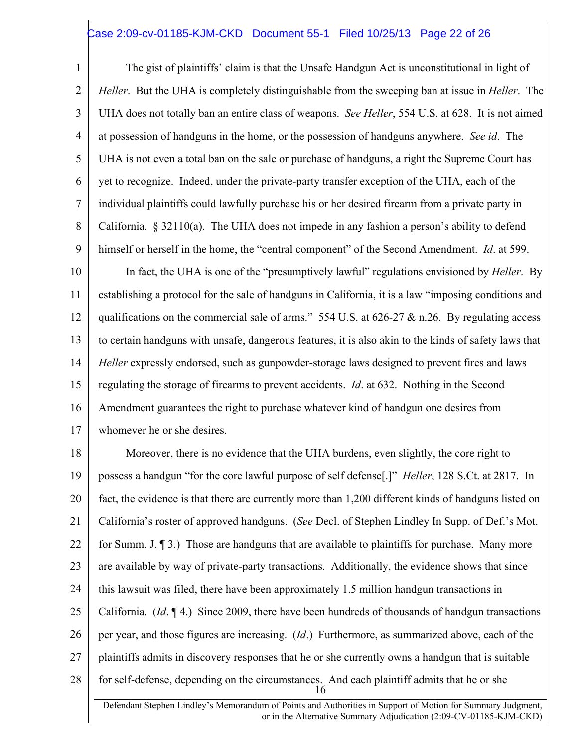#### Case 2:09-cv-01185-KJM-CKD Document 55-1 Filed 10/25/13 Page 22 of 26

1 2 3 4 5 6 7 8 9 The gist of plaintiffs' claim is that the Unsafe Handgun Act is unconstitutional in light of *Heller*. But the UHA is completely distinguishable from the sweeping ban at issue in *Heller*. The UHA does not totally ban an entire class of weapons. *See Heller*, 554 U.S. at 628. It is not aimed at possession of handguns in the home, or the possession of handguns anywhere. *See id*. The UHA is not even a total ban on the sale or purchase of handguns, a right the Supreme Court has yet to recognize. Indeed, under the private-party transfer exception of the UHA, each of the individual plaintiffs could lawfully purchase his or her desired firearm from a private party in California. § 32110(a). The UHA does not impede in any fashion a person's ability to defend himself or herself in the home, the "central component" of the Second Amendment. *Id*. at 599.

10 11 12 13 14 15 16 17 In fact, the UHA is one of the "presumptively lawful" regulations envisioned by *Heller*. By establishing a protocol for the sale of handguns in California, it is a law "imposing conditions and qualifications on the commercial sale of arms." 554 U.S. at 626-27  $\&$  n.26. By regulating access to certain handguns with unsafe, dangerous features, it is also akin to the kinds of safety laws that *Heller* expressly endorsed, such as gunpowder-storage laws designed to prevent fires and laws regulating the storage of firearms to prevent accidents. *Id*. at 632. Nothing in the Second Amendment guarantees the right to purchase whatever kind of handgun one desires from whomever he or she desires.

18 19 20 21 22 23 24 25 26 27 28 16 Moreover, there is no evidence that the UHA burdens, even slightly, the core right to possess a handgun "for the core lawful purpose of self defense[.]" *Heller*, 128 S.Ct. at 2817. In fact, the evidence is that there are currently more than 1,200 different kinds of handguns listed on California's roster of approved handguns. (*See* Decl. of Stephen Lindley In Supp. of Def.'s Mot. for Summ. J. ¶ 3.) Those are handguns that are available to plaintiffs for purchase. Many more are available by way of private-party transactions. Additionally, the evidence shows that since this lawsuit was filed, there have been approximately 1.5 million handgun transactions in California. (*Id*. ¶ 4.) Since 2009, there have been hundreds of thousands of handgun transactions per year, and those figures are increasing. (*Id*.) Furthermore, as summarized above, each of the plaintiffs admits in discovery responses that he or she currently owns a handgun that is suitable for self-defense, depending on the circumstances. And each plaintiff admits that he or she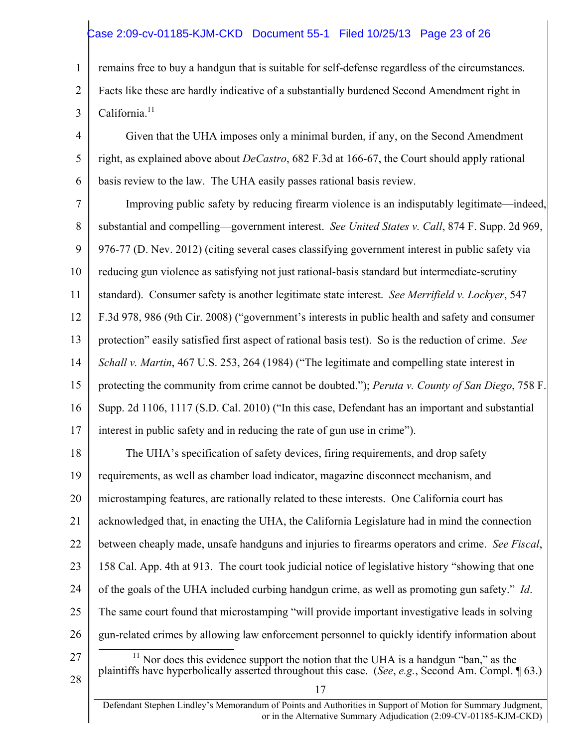## Case 2:09-cv-01185-KJM-CKD Document 55-1 Filed 10/25/13 Page 23 of 26

1 2 3 remains free to buy a handgun that is suitable for self-defense regardless of the circumstances. Facts like these are hardly indicative of a substantially burdened Second Amendment right in California. $11$ 

4 5 6 Given that the UHA imposes only a minimal burden, if any, on the Second Amendment right, as explained above about *DeCastro*, 682 F.3d at 166-67, the Court should apply rational basis review to the law. The UHA easily passes rational basis review.

7 8 9 10 11 12 13 14 15 16 17 18 19 20 21 22 23 Improving public safety by reducing firearm violence is an indisputably legitimate—indeed, substantial and compelling—government interest. *See United States v. Call*, 874 F. Supp. 2d 969, 976-77 (D. Nev. 2012) (citing several cases classifying government interest in public safety via reducing gun violence as satisfying not just rational-basis standard but intermediate-scrutiny standard). Consumer safety is another legitimate state interest. *See Merrifield v. Lockyer*, 547 F.3d 978, 986 (9th Cir. 2008) ("government's interests in public health and safety and consumer protection" easily satisfied first aspect of rational basis test). So is the reduction of crime. *See Schall v. Martin*, 467 U.S. 253, 264 (1984) ("The legitimate and compelling state interest in protecting the community from crime cannot be doubted."); *Peruta v. County of San Diego*, 758 F. Supp. 2d 1106, 1117 (S.D. Cal. 2010) ("In this case, Defendant has an important and substantial interest in public safety and in reducing the rate of gun use in crime"). The UHA's specification of safety devices, firing requirements, and drop safety requirements, as well as chamber load indicator, magazine disconnect mechanism, and microstamping features, are rationally related to these interests. One California court has acknowledged that, in enacting the UHA, the California Legislature had in mind the connection between cheaply made, unsafe handguns and injuries to firearms operators and crime. *See Fiscal*, 158 Cal. App. 4th at 913. The court took judicial notice of legislative history "showing that one

- 24 of the goals of the UHA included curbing handgun crime, as well as promoting gun safety." *Id*.
- 25 The same court found that microstamping "will provide important investigative leads in solving
- 26 gun-related crimes by allowing law enforcement personnel to quickly identify information about
- 27 28
- $11$  Nor does this evidence support the notion that the UHA is a handgun "ban," as the plaintiffs have hyperbolically asserted throughout this case. (*See*, *e.g.*, Second Am. Compl. ¶ 63.)

<sup>17</sup>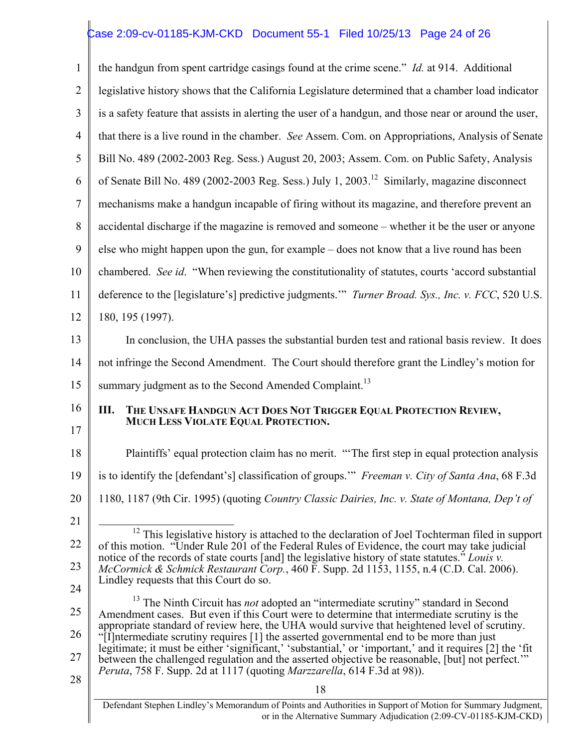## Case 2:09-cv-01185-KJM-CKD Document 55-1 Filed 10/25/13 Page 24 of 26

1 2 3 4 5 6 7 8 9 10 11 12 13 14 15 16 17 18 19 20 21 22 23 24 25 26 27 28 18 Defendant Stephen Lindley's Memorandum of Points and Authorities in Support of Motion for Summary Judgment, or in the Alternative Summary Adjudication (2:09-CV-01185-KJM-CKD) the handgun from spent cartridge casings found at the crime scene." *Id.* at 914. Additional legislative history shows that the California Legislature determined that a chamber load indicator is a safety feature that assists in alerting the user of a handgun, and those near or around the user, that there is a live round in the chamber. *See* Assem. Com. on Appropriations, Analysis of Senate Bill No. 489 (2002-2003 Reg. Sess.) August 20, 2003; Assem. Com. on Public Safety, Analysis of Senate Bill No. 489 (2002-2003 Reg. Sess.) July 1, 2003.<sup>12</sup> Similarly, magazine disconnect mechanisms make a handgun incapable of firing without its magazine, and therefore prevent an accidental discharge if the magazine is removed and someone – whether it be the user or anyone else who might happen upon the gun, for example – does not know that a live round has been chambered. *See id*. "When reviewing the constitutionality of statutes, courts 'accord substantial deference to the [legislature's] predictive judgments.'" *Turner Broad. Sys., Inc. v. FCC*, 520 U.S. 180, 195 (1997). In conclusion, the UHA passes the substantial burden test and rational basis review. It does not infringe the Second Amendment. The Court should therefore grant the Lindley's motion for summary judgment as to the Second Amended Complaint.<sup>13</sup> **III. THE UNSAFE HANDGUN ACT DOES NOT TRIGGER EQUAL PROTECTION REVIEW, MUCH LESS VIOLATE EQUAL PROTECTION.**  Plaintiffs' equal protection claim has no merit. "'The first step in equal protection analysis is to identify the [defendant's] classification of groups.'" *Freeman v. City of Santa Ana*, 68 F.3d 1180, 1187 (9th Cir. 1995) (quoting *Country Classic Dairies, Inc. v. State of Montana, Dep't of*  <sup>12</sup> This legislative history is attached to the declaration of Joel Tochterman filed in support of this motion. "Under Rule 201 of the Federal Rules of Evidence, the court may take judicial notice of the records of state courts [and] the legislative history of state statutes." *Louis v. McCormick & Schmick Restaurant Corp.*, 460 F. Supp. 2d 1153, 1155, n.4 (C.D. Cal. 2006). Lindley requests that this Court do so. <sup>13</sup> The Ninth Circuit has *not* adopted an "intermediate scrutiny" standard in Second Amendment cases. But even if this Court were to determine that intermediate scrutiny is the appropriate standard of review here, the UHA would survive that heightened level of scrutiny. "[I]ntermediate scrutiny requires [1] the asserted governmental end to be more than just legitimate; it must be either 'significant,' 'substantial,' or 'important,' and it requires [2] the 'fit between the challenged regulation and the asserted objective be reasonable, [but] not perfect." *Peruta*, 758 F. Supp. 2d at 1117 (quoting *Marzzarella*, 614 F.3d at 98)).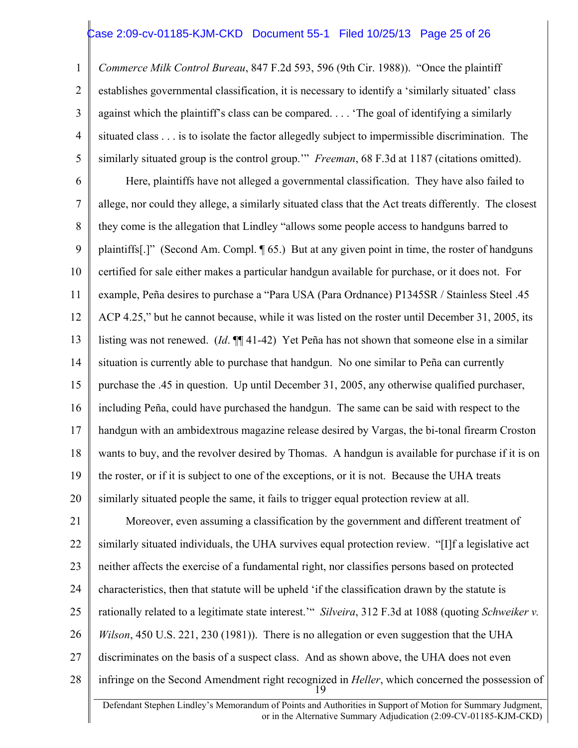#### Case 2:09-cv-01185-KJM-CKD Document 55-1 Filed 10/25/13 Page 25 of 26

1 2 3 4 5 *Commerce Milk Control Bureau*, 847 F.2d 593, 596 (9th Cir. 1988)). "Once the plaintiff establishes governmental classification, it is necessary to identify a 'similarly situated' class against which the plaintiff's class can be compared. . . . 'The goal of identifying a similarly situated class . . . is to isolate the factor allegedly subject to impermissible discrimination. The similarly situated group is the control group.'" *Freeman*, 68 F.3d at 1187 (citations omitted).

6 7 8 9 10 11 12 13 14 15 16 17 18 19 20 Here, plaintiffs have not alleged a governmental classification. They have also failed to allege, nor could they allege, a similarly situated class that the Act treats differently. The closest they come is the allegation that Lindley "allows some people access to handguns barred to plaintiffs[.]" (Second Am. Compl. ¶ 65.) But at any given point in time, the roster of handguns certified for sale either makes a particular handgun available for purchase, or it does not. For example, Peña desires to purchase a "Para USA (Para Ordnance) P1345SR / Stainless Steel .45 ACP 4.25," but he cannot because, while it was listed on the roster until December 31, 2005, its listing was not renewed. (*Id*. ¶¶ 41-42) Yet Peña has not shown that someone else in a similar situation is currently able to purchase that handgun. No one similar to Peña can currently purchase the .45 in question. Up until December 31, 2005, any otherwise qualified purchaser, including Peña, could have purchased the handgun. The same can be said with respect to the handgun with an ambidextrous magazine release desired by Vargas, the bi-tonal firearm Croston wants to buy, and the revolver desired by Thomas. A handgun is available for purchase if it is on the roster, or if it is subject to one of the exceptions, or it is not. Because the UHA treats similarly situated people the same, it fails to trigger equal protection review at all.

21 22 23 24 25 26 27 28 19 Moreover, even assuming a classification by the government and different treatment of similarly situated individuals, the UHA survives equal protection review. "[I]f a legislative act neither affects the exercise of a fundamental right, nor classifies persons based on protected characteristics, then that statute will be upheld 'if the classification drawn by the statute is rationally related to a legitimate state interest.'" *Silveira*, 312 F.3d at 1088 (quoting *Schweiker v. Wilson*, 450 U.S. 221, 230 (1981)). There is no allegation or even suggestion that the UHA discriminates on the basis of a suspect class. And as shown above, the UHA does not even infringe on the Second Amendment right recognized in *Heller*, which concerned the possession of